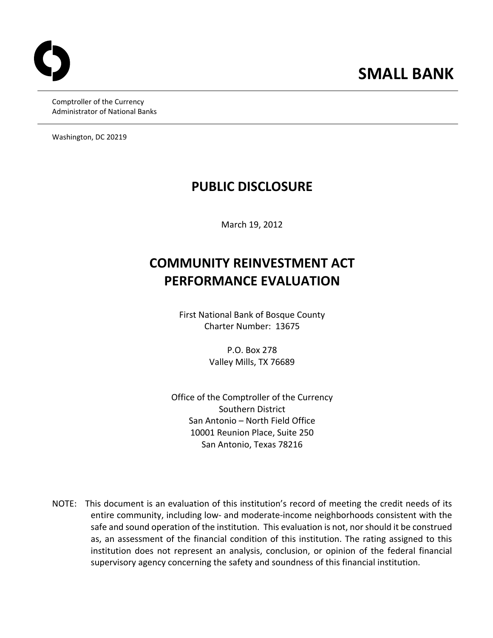Comptroller of the Currency Administrator of National Banks

Washington, DC 20219

## **PUBLIC DISCLOSURE**

March 19, 2012

# **COMMUNITY REINVESTMENT ACT PERFORMANCE EVALUATION**

 First National Bank of Bosque County Charter Number: 13675

> P.O. Box 278 Valley Mills, TX 76689

 Office of the Comptroller of the Currency Southern District San Antonio – North Field Office 10001 Reunion Place, Suite 250 San Antonio, Texas 78216

 NOTE: This document is an evaluation of this institution's record of meeting the credit needs of its entire community, including low‐ and moderate‐income neighborhoods consistent with the safe and sound operation of the institution. This evaluation is not, nor should it be construed as, an assessment of the financial condition of this institution. The rating assigned to this institution does not represent an analysis, conclusion, or opinion of the federal financial supervisory agency concerning the safety and soundness of this financial institution.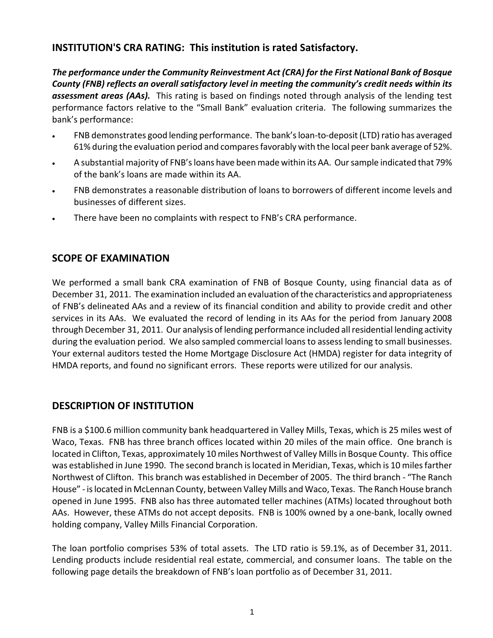### **INSTITUTION'S CRA RATING: This institution is rated Satisfactory.**

The performance under the Community Reinvestment Act (CRA) for the First National Bank of Bosque County (FNB) reflects an overall satisfactory level in meeting the community's credit needs within its  *assessment areas (AAs).* This rating is based on findings noted through analysis of the lending test performance factors relative to the "Small Bank" evaluation criteria. The following summarizes the bank's performance:

- FNB demonstrates good lending performance. The bank's loan-to-deposit (LTD) ratio has averaged 61% during the evaluation period and compares favorably with the local peer bank average of 52%.
- A substantial majority of FNB'sloans have beenmade within its AA. Oursample indicated that 79% of the bank's loans are made within its AA.
- FNB demonstrates a reasonable distribution of loans to borrowers of different income levels and businesses of different sizes.
- There have been no complaints with respect to FNB's CRA performance.

### **SCOPE OF EXAMINATION**

 We performed a small bank CRA examination of FNB of Bosque County, using financial data as of December 31, 2011. The examination included an evaluation of the characteristics and appropriateness of FNB's delineated AAs and a review of its financial condition and ability to provide credit and other services in its AAs. We evaluated the record of lending in its AAs for the period from January 2008 through December 31, 2011. Our analysis of lending performance included allresidential lending activity during the evaluation period. We also sampled commercial loans to assess lending to small businesses. Your external auditors tested the Home Mortgage Disclosure Act (HMDA) register for data integrity of HMDA reports, and found no significant errors. These reports were utilized for our analysis.

## **DESCRIPTION OF INSTITUTION**

 FNB is a \$100.6 million community bank headquartered in Valley Mills, Texas, which is 25 miles west of Waco, Texas. FNB has three branch offices located within 20 miles of the main office. One branch is located in Clifton, Texas, approximately 10 miles Northwest of Valley Millsin Bosque County. This office was established in June 1990. The second branch is located in Meridian, Texas, which is 10 miles farther Northwest of Clifton. This branch was established in December of 2005. The third branch ‐ "The Ranch House" - is located in McLennan County, between Valley Mills and Waco, Texas. The Ranch House branch opened in June 1995. FNB also has three automated teller machines (ATMs) located throughout both AAs. However, these ATMs do not accept deposits. FNB is 100% owned by a one‐bank, locally owned holding company, Valley Mills Financial Corporation.

 The loan portfolio comprises 53% of total assets. The LTD ratio is 59.1%, as of December 31, 2011. Lending products include residential real estate, commercial, and consumer loans. The table on the following page details the breakdown of FNB's loan portfolio as of December 31, 2011.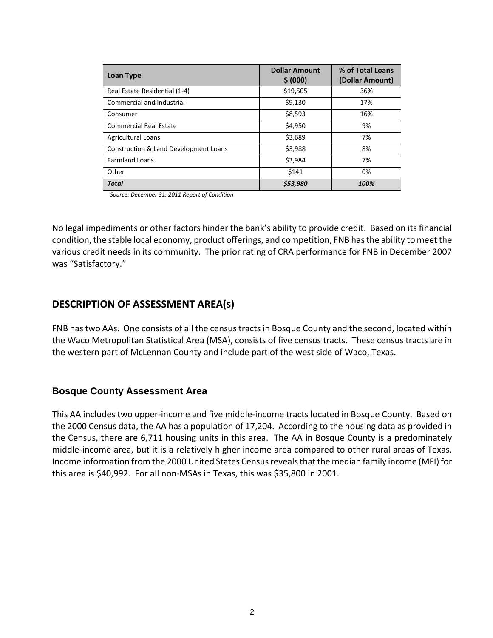| Loan Type                             | <b>Dollar Amount</b><br>\$ (000) | % of Total Loans<br>(Dollar Amount) |
|---------------------------------------|----------------------------------|-------------------------------------|
| Real Estate Residential (1-4)         | \$19,505                         | 36%                                 |
| Commercial and Industrial             | \$9,130                          | 17%                                 |
| Consumer                              | \$8,593                          | 16%                                 |
| <b>Commercial Real Estate</b>         | \$4,950                          | 9%                                  |
| <b>Agricultural Loans</b>             | \$3,689                          | 7%                                  |
| Construction & Land Development Loans | \$3,988                          | 8%                                  |
| <b>Farmland Loans</b>                 | \$3,984                          | 7%                                  |
| Other                                 | \$141                            | 0%                                  |
| Total                                 | \$53,980                         | 100%                                |

 *Source: December 31, 2011 Report of Condition*

 No legal impediments or other factors hinder the bank's ability to provide credit. Based on its financial condition, the stable local economy, product offerings, and competition, FNB has the ability to meet the various credit needs in its community. The prior rating of CRA performance for FNB in December 2007 was "Satisfactory."

### **DESCRIPTION OF ASSESSMENT AREA(s)**

FNB has two AAs. One consists of all the census tracts in Bosque County and the second, located within the Waco Metropolitan Statistical Area (MSA), consists of five census tracts. These census tracts are in the western part of McLennan County and include part of the west side of Waco, Texas.

#### **Bosque County Assessment Area**

 This AA includes two upper‐income and five middle‐income tracts located in Bosque County. Based on the 2000 Census data, the AA has a population of 17,204. According to the housing data as provided in the Census, there are 6,711 housing units in this area. The AA in Bosque County is a predominately middle‐income area, but it is a relatively higher income area compared to other rural areas of Texas. Income information from the 2000 United States Census reveals that the median family income (MFI) for this area is \$40,992. For all non‐MSAs in Texas, this was \$35,800 in 2001.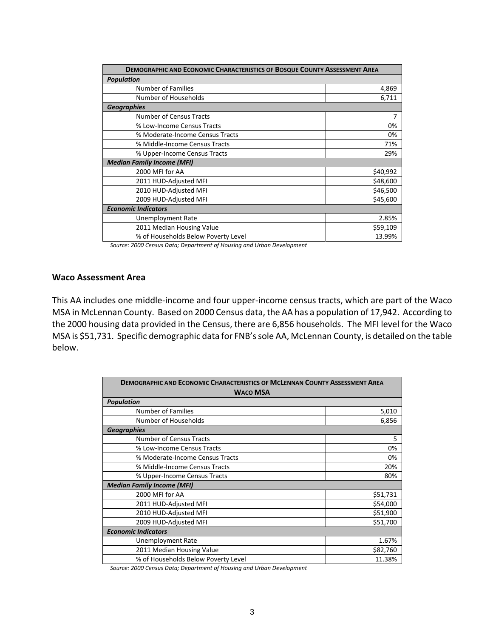| <b>DEMOGRAPHIC AND ECONOMIC CHARACTERISTICS OF BOSQUE COUNTY ASSESSMENT AREA</b> |          |  |  |  |
|----------------------------------------------------------------------------------|----------|--|--|--|
| <b>Population</b>                                                                |          |  |  |  |
| <b>Number of Families</b>                                                        | 4,869    |  |  |  |
| Number of Households                                                             | 6,711    |  |  |  |
| <b>Geographies</b>                                                               |          |  |  |  |
| <b>Number of Census Tracts</b>                                                   | 7        |  |  |  |
| % Low-Income Census Tracts                                                       | 0%       |  |  |  |
| % Moderate-Income Census Tracts                                                  | 0%       |  |  |  |
| % Middle-Income Census Tracts                                                    | 71%      |  |  |  |
| % Upper-Income Census Tracts                                                     | 29%      |  |  |  |
| <b>Median Family Income (MFI)</b>                                                |          |  |  |  |
| 2000 MFI for AA                                                                  | \$40,992 |  |  |  |
| 2011 HUD-Adjusted MFI                                                            | \$48,600 |  |  |  |
| 2010 HUD-Adjusted MFI                                                            | \$46,500 |  |  |  |
| 2009 HUD-Adjusted MFI                                                            | \$45,600 |  |  |  |
| <b>Economic Indicators</b>                                                       |          |  |  |  |
| Unemployment Rate                                                                | 2.85%    |  |  |  |
| 2011 Median Housing Value                                                        | \$59,109 |  |  |  |
| % of Households Below Poverty Level                                              | 13.99%   |  |  |  |

 *Source: 2000 Census Data; Department of Housing and Urban Development*

#### **Waco Assessment Area**

 This AA includes one middle‐income and four upper‐income census tracts, which are part of the Waco MSA in McLennan County. Based on 2000 Census data, the AA has a population of 17,942. According to the 2000 housing data provided in the Census, there are 6,856 households. The MFI level for the Waco MSA is \$51,731. Specific demographic data for FNB'ssole AA, McLennan County, is detailed on the table below.

| <b>DEMOGRAPHIC AND ECONOMIC CHARACTERISTICS OF MCLENNAN COUNTY ASSESSMENT AREA</b><br><b>WACO MSA</b> |          |  |  |  |
|-------------------------------------------------------------------------------------------------------|----------|--|--|--|
| <b>Population</b>                                                                                     |          |  |  |  |
| <b>Number of Families</b>                                                                             | 5,010    |  |  |  |
| Number of Households                                                                                  | 6,856    |  |  |  |
| <b>Geographies</b>                                                                                    |          |  |  |  |
| <b>Number of Census Tracts</b>                                                                        | 5        |  |  |  |
| % Low-Income Census Tracts                                                                            | 0%       |  |  |  |
| % Moderate-Income Census Tracts                                                                       | 0%       |  |  |  |
| % Middle-Income Census Tracts                                                                         | 20%      |  |  |  |
| % Upper-Income Census Tracts                                                                          | 80%      |  |  |  |
| <b>Median Family Income (MFI)</b>                                                                     |          |  |  |  |
| 2000 MFI for AA                                                                                       | \$51,731 |  |  |  |
| 2011 HUD-Adjusted MFI                                                                                 | \$54,000 |  |  |  |
| 2010 HUD-Adjusted MFI                                                                                 | \$51,900 |  |  |  |
| 2009 HUD-Adjusted MFI                                                                                 | \$51,700 |  |  |  |
| <b>Economic Indicators</b>                                                                            |          |  |  |  |
| Unemployment Rate                                                                                     | 1.67%    |  |  |  |
| 2011 Median Housing Value                                                                             | \$82,760 |  |  |  |
| % of Households Below Poverty Level                                                                   | 11.38%   |  |  |  |

 *Source: 2000 Census Data; Department of Housing and Urban Development*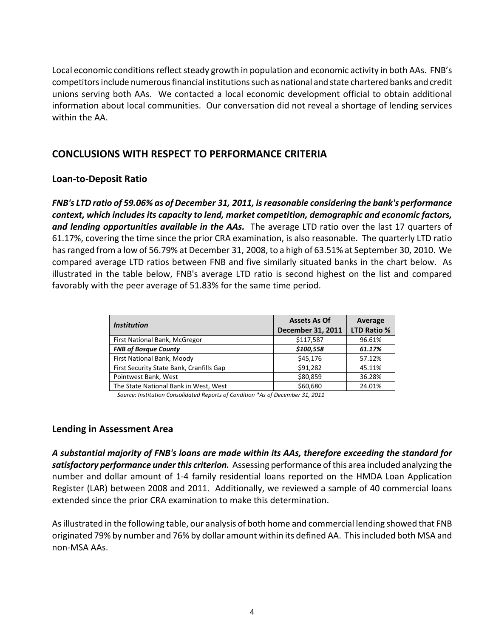Local economic conditions reflect steady growth in population and economic activity in both AAs. FNB's competitors include numerous financial institutions such as national and state chartered banks and credit unions serving both AAs. We contacted a local economic development official to obtain additional information about local communities. Our conversation did not reveal a shortage of lending services within the AA.

### **CONCLUSIONS WITH RESPECT TO PERFORMANCE CRITERIA**

### **Loan‐to‐Deposit Ratio**

FNB's LTD ratio of 59.06% as of December 31, 2011, is reasonable considering the bank's performance context, which includes its capacity to lend, market competition, demographic and economic factors,  *and lending opportunities available in the AAs.* The average LTD ratio over the last 17 quarters of 61.17%, covering the time since the prior CRA examination, is also reasonable. The quarterly LTD ratio hasranged from a low of 56.79% at December 31, 2008, to a high of 63.51% at September 30, 2010. We compared average LTD ratios between FNB and five similarly situated banks in the chart below. As illustrated in the table below, FNB's average LTD ratio is second highest on the list and compared favorably with the peer average of 51.83% for the same time period.

| <i><b>Institution</b></i>                | <b>Assets As Of</b> | Average            |
|------------------------------------------|---------------------|--------------------|
|                                          | December 31, 2011   | <b>LTD Ratio %</b> |
| First National Bank, McGregor            | \$117,587           | 96.61%             |
| <b>FNB of Bosque County</b>              | \$100,558           | 61.17%             |
| First National Bank, Moody               | \$45,176            | 57.12%             |
| First Security State Bank, Cranfills Gap | \$91,282            | 45.11%             |
| Pointwest Bank, West                     | \$80,859            | 36.28%             |
| The State National Bank in West, West    | \$60,680            | 24.01%             |

 *Source: Institution Consolidated Reports of Condition \*As of December 31, 2011*

#### **Lending in Assessment Area**

A substantial majority of FNB's loans are made within its AAs, therefore exceeding the standard for  *satisfactory performance underthis criterion.* Assessing performance ofthis area included analyzing the number and dollar amount of 1‐4 family residential loans reported on the HMDA Loan Application Register (LAR) between 2008 and 2011. Additionally, we reviewed a sample of 40 commercial loans extended since the prior CRA examination to make this determination.

 Asillustrated in the following table, our analysis of both home and commercial lending showed that FNB originated 79% by number and 76% by dollar amount within its defined AA. Thisincluded both MSA and non‐MSA AAs.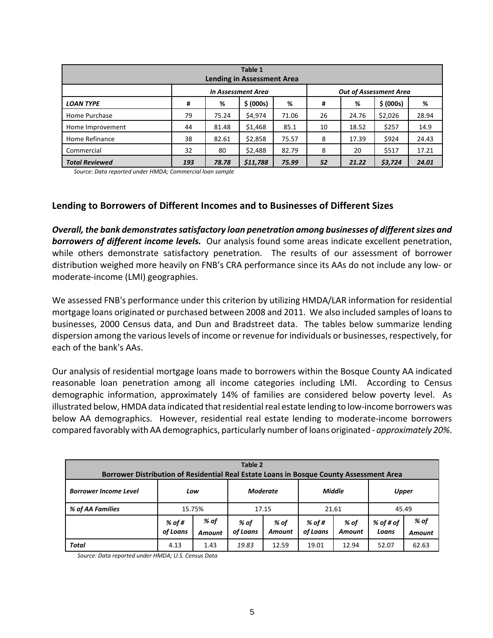| Table 1<br><b>Lending in Assessment Area</b>               |     |       |           |       |    |       |           |       |
|------------------------------------------------------------|-----|-------|-----------|-------|----|-------|-----------|-------|
| <b>Out of Assessment Area</b><br><b>In Assessment Area</b> |     |       |           |       |    |       |           |       |
| <b>LOAN TYPE</b>                                           | #   | %     | \$ (000s) | %     | #  | %     | \$ (000s) | %     |
| Home Purchase                                              | 79  | 75.24 | \$4,974   | 71.06 | 26 | 24.76 | \$2,026   | 28.94 |
| Home Improvement                                           | 44  | 81.48 | \$1,468   | 85.1  | 10 | 18.52 | \$257     | 14.9  |
| Home Refinance                                             | 38  | 82.61 | \$2,858   | 75.57 | 8  | 17.39 | \$924     | 24.43 |
| Commercial                                                 | 32  | 80    | \$2,488   | 82.79 | 8  | 20    | \$517     | 17.21 |
| <b>Total Reviewed</b>                                      | 193 | 78.78 | \$11,788  | 75.99 | 52 | 21.22 | \$3,724   | 24.01 |

 *Source: Data reported under HMDA; Commercial loan sample*

### **Lending to Borrowers of Different Incomes and to Businesses of Different Sizes**

 *Overall, the bank demonstratessatisfactory loan penetration among businesses of differentsizes and*   *borrowers of different income levels.* Our analysis found some areas indicate excellent penetration, while others demonstrate satisfactory penetration. The results of our assessment of borrower distribution weighed more heavily on FNB's CRA performance since its AAs do not include any low‐ or moderate‐income (LMI) geographies.

 We assessed FNB's performance under this criterion by utilizing HMDA/LAR information for residential mortgage loans originated or purchased between 2008 and 2011. We also included samples of loansto businesses, 2000 Census data, and Dun and Bradstreet data. The tables below summarize lending dispersion among the various levels of income or revenue for individuals or businesses, respectively, for each of the bank's AAs.

 Our analysis of residential mortgage loans made to borrowers within the Bosque County AA indicated reasonable loan penetration among all income categories including LMI. According to Census demographic information, approximately 14% of families are considered below poverty level. As illustrated below, HMDA data indicated that residential real estate lending to low-income borrowers was below AA demographics. However, residential real estate lending to moderate‐income borrowers compared favorably with AA demographics, particularly number of loans originated ‐ *approximately 20%*.

| Table 2<br>Borrower Distribution of Residential Real Estate Loans in Bosque County Assessment Area |                    |                |                  |                                  |                    |                       |                    |                       |       |  |
|----------------------------------------------------------------------------------------------------|--------------------|----------------|------------------|----------------------------------|--------------------|-----------------------|--------------------|-----------------------|-------|--|
| <b>Borrower Income Level</b><br>Low                                                                |                    |                |                  | <b>Middle</b><br><b>Moderate</b> |                    |                       | <b>Upper</b>       |                       |       |  |
| % of AA Families                                                                                   |                    | 15.75%         | 17.15            |                                  |                    |                       | 21.61              |                       | 45.49 |  |
|                                                                                                    | % of #<br>of Loans | % of<br>Amount | % of<br>of Loans | % of<br><b>Amount</b>            | % of #<br>of Loans | % of<br><b>Amount</b> | % of # of<br>Loans | % of<br><b>Amount</b> |       |  |
| Total                                                                                              | 4.13               | 1.43           | 19.83            | 12.59                            | 19.01              | 12.94                 | 52.07              | 62.63                 |       |  |

 *Source: Data reported under HMDA; U.S. Census Data*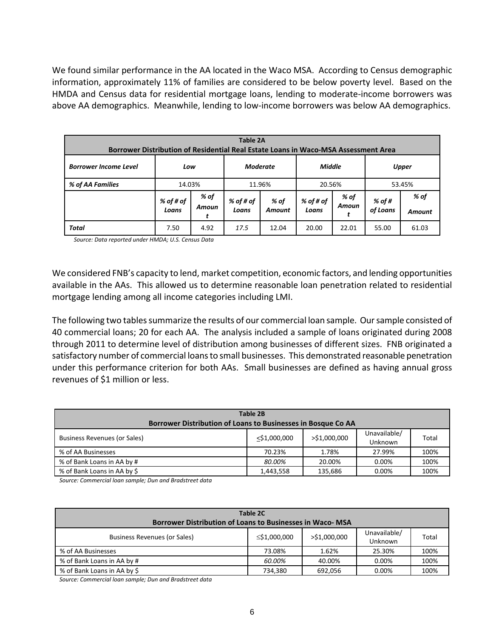We found similar performance in the AA located in the Waco MSA. According to Census demographic information, approximately 11% of families are considered to be below poverty level. Based on the HMDA and Census data for residential mortgage loans, lending to moderate‐income borrowers was above AA demographics. Meanwhile, lending to low‐income borrowers was below AA demographics.

| Table 2A<br>Borrower Distribution of Residential Real Estate Loans in Waco-MSA Assessment Area |                    |               |                    |                |                    |               |                    |                |  |
|------------------------------------------------------------------------------------------------|--------------------|---------------|--------------------|----------------|--------------------|---------------|--------------------|----------------|--|
| <b>Moderate</b><br><b>Middle</b><br><b>Borrower Income Level</b><br>Low                        |                    |               |                    |                | <b>Upper</b>       |               |                    |                |  |
| % of AA Families                                                                               | 14.03%             |               | 11.96%             |                | 20.56%             |               |                    | 53.45%         |  |
|                                                                                                | % of # of<br>Loans | % of<br>Amoun | % of # of<br>Loans | % of<br>Amount | % of # of<br>Loans | % of<br>Amoun | % of #<br>of Loans | % of<br>Amount |  |
| <b>Total</b>                                                                                   | 7.50               | 4.92          | 17.5               | 12.04          | 20.00              | 22.01         | 55.00              | 61.03          |  |

 *Source: Data reported under HMDA; U.S. Census Data*

 We considered FNB's capacity to lend, market competition, economic factors, and lending opportunities available in the AAs. This allowed us to determine reasonable loan penetration related to residential mortgage lending among all income categories including LMI.

The following two tables summarize the results of our commercial loan sample. Our sample consisted of 40 commercial loans; 20 for each AA. The analysis included a sample of loans originated during 2008 through 2011 to determine level of distribution among businesses of different sizes. FNB originated a satisfactory number of commercial loans to small businesses. This demonstrated reasonable penetration under this performance criterion for both AAs. Small businesses are defined as having annual gross revenues of \$1 million or less.

| <b>Table 2B</b><br>Borrower Distribution of Loans to Businesses in Bosque Co AA |              |              |                                |       |  |  |  |  |
|---------------------------------------------------------------------------------|--------------|--------------|--------------------------------|-------|--|--|--|--|
| Business Revenues (or Sales)                                                    | <\$1,000,000 | >\$1,000,000 | Unavailable/<br><b>Unknown</b> | Total |  |  |  |  |
| % of AA Businesses                                                              | 70.23%       | 1.78%        | 27.99%                         | 100%  |  |  |  |  |
| % of Bank Loans in AA by #                                                      | 80.00%       | 20.00%       | $0.00\%$                       | 100%  |  |  |  |  |
| % of Bank Loans in AA by \$                                                     | 1,443,558    | 135.686      | 0.00%                          | 100%  |  |  |  |  |

 *Source: Commercial loan sample; Dun and Bradstreet data*

| Table 2C<br><b>Borrower Distribution of Loans to Businesses in Waco- MSA</b> |                    |                 |                         |       |  |  |  |  |
|------------------------------------------------------------------------------|--------------------|-----------------|-------------------------|-------|--|--|--|--|
| <b>Business Revenues (or Sales)</b>                                          | $\leq$ \$1,000,000 | $>$ \$1,000,000 | Unavailable/<br>Unknown | Total |  |  |  |  |
| % of AA Businesses                                                           | 73.08%             | 1.62%           | 25.30%                  | 100%  |  |  |  |  |
| % of Bank Loans in AA by #                                                   | 60.00%             | 40.00%          | 0.00%                   | 100%  |  |  |  |  |
| % of Bank Loans in AA by \$                                                  | 734.380            | 692,056         | 0.00%                   | 100%  |  |  |  |  |

 *Source: Commercial loan sample; Dun and Bradstreet data*